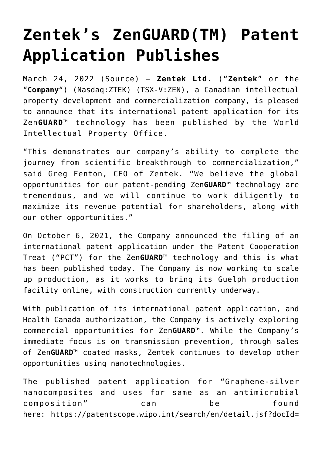# **[Zentek's ZenGUARD\(TM\) Patent](https://investorintel.com/markets/biotech-healthcare/biotech-news/zenteks-zenguardtm-patent-application-publishes/) [Application Publishes](https://investorintel.com/markets/biotech-healthcare/biotech-news/zenteks-zenguardtm-patent-application-publishes/)**

March 24, 2022 ([Source](https://www.accesswire.com/694546/Zenteks-ZenGUARDTM-Patent-Application-Publishes)) – **Zentek Ltd.** ("**Zentek**" or the "**Company**") (Nasdaq:ZTEK) (TSX-V:ZEN), a Canadian intellectual property development and commercialization company, is pleased to announce that its international patent application for its Zen**GUARD**™ technology has been published by the World Intellectual Property Office.

"This demonstrates our company's ability to complete the journey from scientific breakthrough to commercialization," said Greg Fenton, CEO of Zentek. "We believe the global opportunities for our patent-pending Zen**GUARD**™ technology are tremendous, and we will continue to work diligently to maximize its revenue potential for shareholders, along with our other opportunities."

On October 6, 2021, the Company announced the filing of an international patent application under the Patent Cooperation Treat ("PCT") for the Zen**GUARD**™ technology and this is what has been published today. The Company is now working to scale up production, as it works to bring its Guelph production facility online, with construction currently underway.

With publication of its international patent application, and Health Canada authorization, the Company is actively exploring commercial opportunities for Zen**GUARD**™. While the Company's immediate focus is on transmission prevention, through sales of Zen**GUARD**™ coated masks, Zentek continues to develop other opportunities using nanotechnologies.

The published patent application for "Graphene-silver nanocomposites and uses for same as an antimicrobial composition" can be found here: [https://patentscope.wipo.int/search/en/detail.jsf?docId=](https://pr.report/f-PmF391)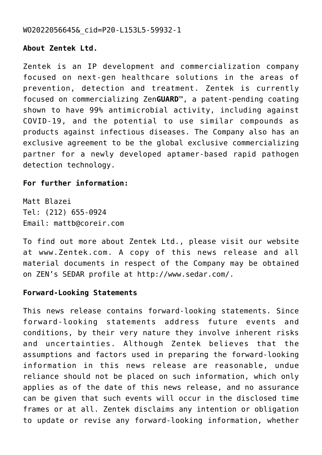### [WO2022056645&\\_cid=P20-L153L5-59932-1](https://pr.report/f-PmF391)

## **About Zentek Ltd.**

Zentek is an IP development and commercialization company focused on next-gen healthcare solutions in the areas of prevention, detection and treatment. Zentek is currently focused on commercializing Zen**GUARD**™, a patent-pending coating shown to have 99% antimicrobial activity, including against COVID-19, and the potential to use similar compounds as products against infectious diseases. The Company also has an exclusive agreement to be the global exclusive commercializing partner for a newly developed aptamer-based rapid pathogen detection technology.

#### **For further information:**

Matt Blazei Tel: (212) 655-0924 Email: [mattb@coreir.com](mailto:mattb@coreir.com)

To find out more about Zentek Ltd., please visit our website at [www.Zentek.com](https://pr.report/TLdUJKxH). A copy of this news release and all material documents in respect of the Company may be obtained on ZEN's SEDAR profile at [http://www.sedar.com/](https://pr.report/xi-qIH4j).

#### **Forward-Looking Statements**

This news release contains forward-looking statements. Since forward-looking statements address future events and conditions, by their very nature they involve inherent risks and uncertainties. Although Zentek believes that the assumptions and factors used in preparing the forward-looking information in this news release are reasonable, undue reliance should not be placed on such information, which only applies as of the date of this news release, and no assurance can be given that such events will occur in the disclosed time frames or at all. Zentek disclaims any intention or obligation to update or revise any forward-looking information, whether